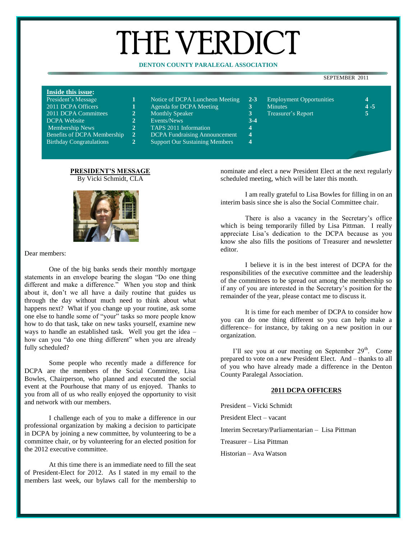# THE VERDICT

# **DENTON COUNTY PARALEGAL ASSOCIATION**

#### SEPTEMBER 2011

## **Inside this issue:**

| President's Message | Notice of DCPA Luncheon Meeting $2-3$ |  | Employment Opportunities |
|---------------------|---------------------------------------|--|--------------------------|
|---------------------|---------------------------------------|--|--------------------------|

- 
- DCPA Website **2** Events/News **3-4**
	-
- Membership News **2** TAPS 2011 Information **4**
- Benefits of DCPA Membership **2** DCPA Fundraising Announcement **4**

Birthday Congratulations **2** Support Our Sustaining Members **4**

- 2011 DCPA Officers **1** Agenda for DCPA Meeting **3** Minutes **4 -5** 2011 DCPA Committees **2** Monthly Speaker **3** Treasurer's Report **5**
	- **PRESIDENT'S MESSAGE** By Vicki Schmidt, CLA





Dear members:

One of the big banks sends their monthly mortgage statements in an envelope bearing the slogan "Do one thing different and make a difference." When you stop and think about it, don't we all have a daily routine that guides us through the day without much need to think about what happens next? What if you change up your routine, ask some one else to handle some of "your" tasks so more people know how to do that task, take on new tasks yourself, examine new ways to handle an established task. Well you get the idea – how can you "do one thing different" when you are already fully scheduled?

Some people who recently made a difference for DCPA are the members of the Social Committee, Lisa Bowles, Chairperson, who planned and executed the social event at the Pourhouse that many of us enjoyed. Thanks to you from all of us who really enjoyed the opportunity to visit and network with our members.

I challenge each of you to make a difference in our professional organization by making a decision to participate in DCPA by joining a new committee, by volunteering to be a committee chair, or by volunteering for an elected position for the 2012 executive committee.

At this time there is an immediate need to fill the seat of President-Elect for 2012. As I stated in my email to the members last week, our bylaws call for the membership to

nominate and elect a new President Elect at the next regularly scheduled meeting, which will be later this month.

I am really grateful to Lisa Bowles for filling in on an interim basis since she is also the Social Committee chair.

There is also a vacancy in the Secretary's office which is being temporarily filled by Lisa Pittman. I really appreciate Lisa's dedication to the DCPA because as you know she also fills the positions of Treasurer and newsletter editor.

I believe it is in the best interest of DCPA for the responsibilities of the executive committee and the leadership of the committees to be spread out among the membership so if any of you are interested in the Secretary's position for the remainder of the year, please contact me to discuss it.

It is time for each member of DCPA to consider how you can do one thing different so you can help make a difference– for instance, by taking on a new position in our organization.

I'll see you at our meeting on September  $29<sup>th</sup>$ . Come prepared to vote on a new President Elect. And – thanks to all of you who have already made a difference in the Denton County Paralegal Association.

## **2011 DCPA OFFICERS**

President – Vicki Schmidt

President Elect – vacant

Interim Secretary/Parliamentarian – Lisa Pittman

Treasurer – Lisa Pittman

Historian – Ava Watson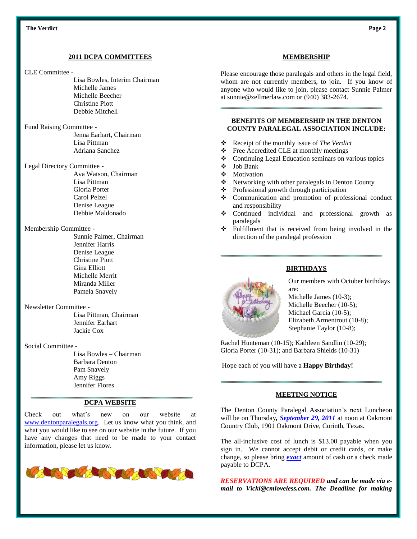## **2011 DCPA COMMITTEES**

#### CLE Committee -

- Lisa Bowles, Interim Chairman Michelle James Michelle Beecher Christine Piott Debbie Mitchell
- Fund Raising Committee -

Jenna Earhart, Chairman Lisa Pittman Adriana Sanchez

Legal Directory Committee -

Ava Watson, Chairman Lisa Pittman Gloria Porter Carol Pelzel Denise League Debbie Maldonado

## Membership Committee -

Sunnie Palmer, Chairman Jennifer Harris Denise League Christine Piott Gina Elliott Michelle Merrit Miranda Miller Pamela Snavely

### Newsletter Committee -

Lisa Pittman, Chairman Jennifer Earhart Jackie Cox

#### Social Committee -

Lisa Bowles – Chairman Barbara Denton Pam Snavely Amy Riggs Jennifer Flores

## **DCPA WEBSITE**

Check out what's new on our website at [www.dentonparalegals.org.](http://www.dentonparalegals.org/) Let us know what you think, and what you would like to see on our website in the future. If you have any changes that need to be made to your contact information, please let us know.



# **MEMBERSHIP**

Please encourage those paralegals and others in the legal field, whom are not currently members, to join. If you know of anyone who would like to join, please contact Sunnie Palmer at sunnie@zellmerlaw.com or (940) 383-2674.

# **BENEFITS OF MEMBERSHIP IN THE DENTON COUNTY PARALEGAL ASSOCIATION INCLUDE:**

- Receipt of the monthly issue of *The Verdict*
- Free Accredited CLE at monthly meetings
- Continuing Legal Education seminars on various topics
- Job Bank
- ❖ Motivation
- ❖ Networking with other paralegals in Denton County
- Professional growth through participation
- Communication and promotion of professional conduct and responsibility
- Continued individual and professional growth as paralegals
- Fulfillment that is received from being involved in the direction of the paralegal profession



# **BIRTHDAYS**

Our members with October birthdays are:

Michelle James (10-3); Michelle Beecher (10-5); Michael Garcia (10-5); Elizabeth Armentrout (10-8); Stephanie Taylor (10-8);

Rachel Hunteman (10-15); Kathleen Sandlin (10-29); Gloria Porter (10-31); and Barbara Shields (10-31)

Hope each of you will have a **Happy Birthday!**

## **MEETING NOTICE**

The Denton County Paralegal Association's next Luncheon will be on Thursday*, September 29, 2011* at noon at Oakmont Country Club, 1901 Oakmont Drive, Corinth, Texas.

The all-inclusive cost of lunch is \$13.00 payable when you sign in. We cannot accept debit or credit cards, or make change, so please bring *exact* amount of cash or a check made payable to DCPA.

*RESERVATIONS ARE REQUIRED and can be made via email to Vicki@cmloveless.com. The Deadline for making*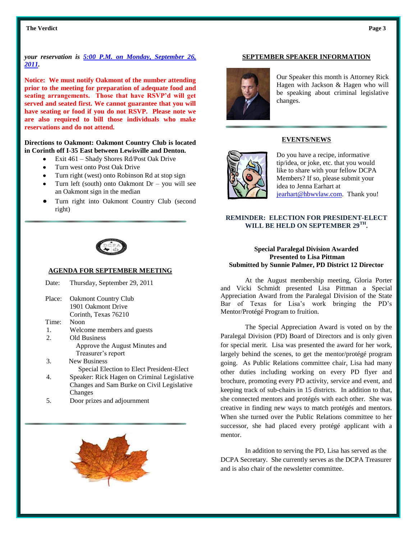#### **Example 1** The Verdict **Page 3** Page 3

# *your reservation is 5:00 P.M. on Monday, September 26, 2011.*

**Notice: We must notify Oakmont of the number attending prior to the meeting for preparation of adequate food and seating arrangements. Those that have RSVP'd will get served and seated first. We cannot guarantee that you will have seating or food if you do not RSVP. Please note we are also required to bill those individuals who make reservations and do not attend.**

# **Directions to Oakmont: Oakmont Country Club is located in Corinth off I-35 East between Lewisville and Denton.**

- Exit 461 Shady Shores Rd/Post Oak Drive
- Turn west onto Post Oak Drive
- Turn right (west) onto Robinson Rd at stop sign
- Turn left (south) onto Oakmont Dr you will see an Oakmont sign in the median
- Turn right into Oakmont Country Club (second right)



## **AGENDA FOR SEPTEMBER MEETING**

| Date:  | Thursday, September 29, 2011                |
|--------|---------------------------------------------|
| Place: | <b>Oakmont Country Club</b>                 |
|        | 1901 Oakmont Drive                          |
|        | Corinth, Texas 76210                        |
| Time:  | Noon                                        |
| 1.     | Welcome members and guests                  |
| 2.     | <b>Old Business</b>                         |
|        | Approve the August Minutes and              |
|        | Treasurer's report                          |
| 3.     | <b>New Business</b>                         |
|        | Special Election to Elect President-Elect   |
| 4.     | Speaker: Rick Hagen on Criminal Legislative |
|        | Changes and Sam Burke on Civil Legislative  |
|        | Changes                                     |
| 5.     | Door prizes and adjournment                 |
|        |                                             |
|        |                                             |



#### **SEPTEMBER SPEAKER INFORMATION**



Our Speaker this month is Attorney Rick Hagen with Jackson & Hagen who will be speaking about criminal legislative changes.

# **EVENTS/NEWS**



Do you have a recipe, informative tip/idea, or joke, etc. that you would like to share with your fellow DCPA Members? If so, please submit your idea to Jenna Earhart at [jearhart@hbwvlaw.com.](mailto:jearhart@hbwvlaw.com) Thank you!

# **REMINDER: ELECTION FOR PRESIDENT-ELECT WILL BE HELD ON SEPTEMBER 29TH .**

## **Special Paralegal Division Awarded Presented to Lisa Pittman Submitted by Sunnie Palmer, PD District 12 Director**

At the August membership meeting, Gloria Porter and Vicki Schmidt presented Lisa Pittman a Special Appreciation Award from the Paralegal Division of the State Bar of Texas for Lisa's work bringing the PD's Mentor/Protégé Program to fruition.

The Special Appreciation Award is voted on by the Paralegal Division (PD) Board of Directors and is only given for special merit. Lisa was presented the award for her work, largely behind the scenes, to get the mentor/protégé program going. As Public Relations committee chair, Lisa had many other duties including working on every PD flyer and brochure, promoting every PD activity, service and event, and keeping track of sub-chairs in 15 districts. In addition to that, she connected mentors and protégés with each other. She was creative in finding new ways to match protégés and mentors. When she turned over the Public Relations committee to her successor, she had placed every protégé applicant with a mentor.

In addition to serving the PD, Lisa has served as the DCPA Secretary. She currently serves as the DCPA Treasurer and is also chair of the newsletter committee.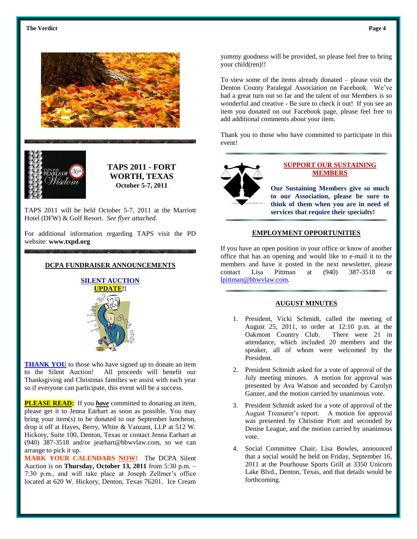



**TAPS 2011 - FORT WORTH, TEXAS October 5-7, 2011**

TAPS 2011 will be held October 5-7, 2011 at the Marriott Hotel (DFW) & Golf Resort. *See flyer attached.*

For additional information regarding TAPS visit the PD website: **[www.txpd.org](http://www.txpd.org/)**

# **DCPA FUNDRAISER ANNOUNCEMENTS**



**THANK YOU** to those who have signed up to donate an item to the Silent Auction! All proceeds will benefit our Thanksgiving and Christmas families we assist with each year so if everyone can participate, this event will be a success.

**PLEASE READ:** If you *have* committed to donating an item, please get it to Jenna Earhart as soon as possible. You may bring your item(s) to be donated to our September luncheon, drop it off at Hayes, Berry, White & Vanzant, LLP at 512 W. Hickory, Suite 100, Denton, Texas or contact Jenna Earhart at (940) 387-3518 and/or jearhart@hbwvlaw.com, so we can arrange to pick it up.

**MARK YOUR CALENDARS NOW!** The DCPA Silent Auction is on **Thursday, October 13, 2011** from 5:30 p.m. – 7:30 p.m., and will take place at Joseph Zellmer's office located at 620 W. Hickory, Denton, Texas 76201. Ice Cream

yummy goodness will be provided, so please feel free to bring your child(ren)!!

To view some of the items already donated – please visit the Denton County Paralegal Association on Facebook. We've had a great turn out so far and the talent of our Members is so wonderful and creative - Be sure to check it out! If you see an item you donated on our Facebook page, please feel free to add additional comments about your item.

Thank you to those who have committed to participate in this event!



# **SUPPORT OUR SUSTAINING MEMBERS**

**Our Sustaining Members give so much to our Association, please be sure to think of them when you are in need of services that require their specialty!**

## **EMPLOYMENT OPPORTUNITIES**

If you have an open position in your office or know of another office that has an opening and would like to e-mail it to the members and have it posted in the next newsletter, please contact Lisa Pittman at (940) 387-3518 or [lpittman@hbwvlaw.com.](mailto:lpittman@hbwvlaw.com)

# **AUGUST MINUTES**

- 1. President, Vicki Schmidt, called the meeting of August 25, 2011, to order at 12:10 p.m. at the Oakmont Country Club. There were 21 in attendance, which included 20 members and the speaker, all of whom were welcomed by the President.
- 2. President Schmidt asked for a vote of approval of the July meeting minutes. A motion for approval was presented by Ava Watson and seconded by Carolyn Ganzer, and the motion carried by unanimous vote.
- 3. President Schmidt asked for a vote of approval of the August Treasurer's report. A motion for approval was presented by Christine Piott and seconded by Denise League, and the motion carried by unanimous vote.
- 4. Social Committee Chair, Lisa Bowles, announced that a social would be held on Friday, September 16, 2011 at the Pourhouse Sports Grill at 3350 Unicorn Lake Blvd., Denton, Texas, and that details would be forthcoming.